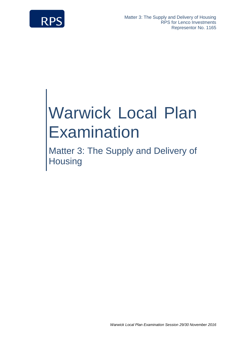

# Warwick Local Plan **Examination**

Matter 3: The Supply and Delivery of **Housing**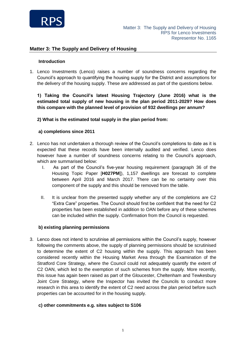

#### **Introduction**

1. Lenco Investments (Lenco) raises a number of soundness concerns regarding the Council's approach to quantifying the housing supply for the District and assumptions for the delivery of the housing supply. These are addressed as part of the questions below.

**1) Taking the Council's latest Housing Trajectory (June 2016) what is the estimated total supply of new housing in the plan period 2011-2029? How does this compare with the planned level of provision of 932 dwellings per annum?** 

#### **2) What is the estimated total supply in the plan period from:**

#### **a) completions since 2011**

- 2. Lenco has not undertaken a thorough review of the Council's completions to date as it is expected that these records have been internally audited and verified. Lenco does however have a number of soundness concerns relating to the Council's approach, which are summarised below:
	- I. As part of the Council's five-year housing requirement (paragraph 36 of the Housing Topic Paper [**H027PM**]), 1,157 dwellings are forecast to complete between April 2016 and March 2017. There can be no certainty over this component of the supply and this should be removed from the table.
	- II. It is unclear from the presented supply whether any of the completions are C2 "Extra Care" properties. The Council should first be confident that the need for C2 properties has been established in addition to OAN before any of these schemes can be included within the supply. Confirmation from the Council is requested.

#### **b) existing planning permissions**

3. Lenco does not intend to scrutinise all permissions within the Council's supply, however following the comments above, the supply of planning permissions should be scrutinised to determine the extent of C2 housing within the supply. This approach has been considered recently within the Housing Market Area through the Examination of the Stratford Core Strategy, where the Council could not adequately quantify the extent of C2 OAN, which led to the exemption of such schemes from the supply. More recently, this issue has again been raised as part of the Gloucester, Cheltenham and Tewkesbury Joint Core Strategy, where the Inspector has invited the Councils to conduct more research in this area to identify the extent of C2 need across the plan period before such properties can be accounted for in the housing supply.

#### **c) other commitments e.g. sites subject to S106**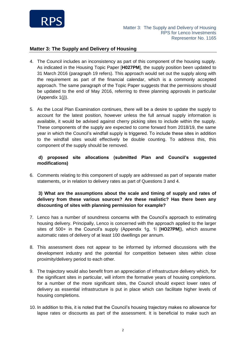

- 4. The Council includes an inconsistency as part of this component of the housing supply. As indicated in the Housing Topic Paper [**H027PM**], the supply position been updated to 31 March 2016 (paragraph 19 refers). This approach would set out the supply along with the requirement as part of the financial calendar, which is a commonly accepted approach. The same paragraph of the Topic Paper suggests that the permissions should be updated to the end of May 2016, referring to three planning approvals in particular (Appendix 1(i)).
- 5. As the Local Plan Examination continues, there will be a desire to update the supply to account for the latest position, however unless the full annual supply information is available, it would be advised against cherry picking sites to include within the supply. These components of the supply are expected to come forward from 2018/19, the same year in which the Council's windfall supply is triggered. To include these sites in addition to the windfall sites would effectively be double counting. To address this, this component of the supply should be removed.

# **d) proposed site allocations (submitted Plan and Council's suggested modifications)**

6. Comments relating to this component of supply are addressed as part of separate matter statements, or in relation to delivery rates as part of Questions 3 and 4.

## **3) What are the assumptions about the scale and timing of supply and rates of delivery from these various sources? Are these realistic? Has there been any discounting of sites with planning permission for example?**

- 7. Lenco has a number of soundness concerns with the Council's approach to estimating housing delivery. Principally, Lenco is concerned with the approach applied to the larger sites of 500+ in the Council's supply (Appendix 1g, 1i [**HO27PM**]), which assume automatic rates of delivery of at least 100 dwellings per annum.
- 8. This assessment does not appear to be informed by informed discussions with the development industry and the potential for competition between sites within close proximity/delivery period to each other.
- 9. The trajectory would also benefit from an appreciation of infrastructure delivery which, for the significant sites in particular, will inform the formative years of housing completions. for a number of the more significant sites, the Council should expect lower rates of delivery as essential infrastructure is put in place which can facilitate higher levels of housing completions.
- 10. In addition to this, it is noted that the Council's housing trajectory makes no allowance for lapse rates or discounts as part of the assessment. It is beneficial to make such an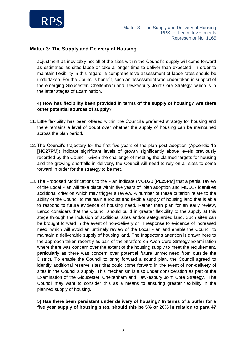

adjustment as inevitably not all of the sites within the Council's supply will come forward as estimated as sites lapse or take a longer time to deliver than expected. In order to maintain flexibility in this regard, a comprehensive assessment of lapse rates should be undertaken. For the Council's benefit, such an assessment was undertaken in support of the emerging Gloucester, Cheltenham and Tewkesbury Joint Core Strategy, which is in the latter stages of Examination.

#### **4) How has flexibility been provided in terms of the supply of housing? Are there other potential sources of supply?**

- 11. Little flexibility has been offered within the Council's preferred strategy for housing and there remains a level of doubt over whether the supply of housing can be maintained across the plan period.
- 12. The Council's trajectory for the first five years of the plan post adoption (Appendix 1a **[HO27PM**]) indicate significant levels of growth significantly above levels previously recorded by the Council. Given the challenge of meeting the planned targets for housing and the growing shortfalls in delivery, the Council will need to rely on all sites to come forward in order for the strategy to be met.
- 13. The Proposed Modifications to the Plan indicate (MOD20 [**PL25PM**] that a partial review of the Local Plan will take place within five years of plan adoption and MOD17 identifies additional criterion which may trigger a review. A number of these criterion relate to the ability of the Council to maintain a robust and flexible supply of housing land that is able to respond to future evidence of housing need. Rather than plan for an early review, Lenco considers that the Council should build in greater flexibility to the supply at this stage through the inclusion of additional sites and/or safeguarded land. Such sites can be brought forward in the event of non-delivery or in response to evidence of increased need, which will avoid an untimely review of the Local Plan and enable the Council to maintain a deliverable supply of housing land. The Inspector's attention is drawn here to the approach taken recently as part of the Stratford-on-Avon Core Strategy Examination where there was concern over the extent of the housing supply to meet the requirement, particularly as there was concern over potential future unmet need from outside the District. To enable the Council to bring forward a sound plan, the Council agreed to identify additional reserve sites that could come forward in the event of non-delivery of sites in the Council's supply. This mechanism is also under consideration as part of the Examination of the Gloucester, Cheltenham and Tewkesbury Joint Core Strategy. The Council may want to consider this as a means to ensuring greater flexibility in the planned supply of housing.

#### **5) Has there been persistent under delivery of housing? In terms of a buffer for a five year supply of housing sites, should this be 5% or 20% in relation to para 47**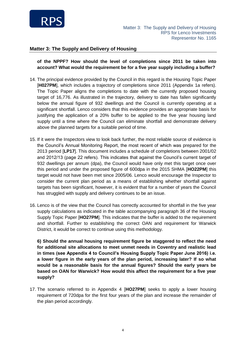

**of the NPPF? How should the level of completions since 2011 be taken into account? What would the requirement be for a five year supply including a buffer?**

- 14. The principal evidence provided by the Council in this regard is the Housing Topic Paper [**H027PM**], which includes a trajectory of completions since 2011 (Appendix 1a refers). The Topic Paper aligns the completions to date with the currently proposed housing target of 16,776. As illustrated in the trajectory, delivery to date has fallen significantly below the annual figure of 932 dwellings and the Council is currently operating at a significant shortfall. Lenco considers that this evidence provides an appropriate basis for justifying the application of a 20% buffer to be applied to the five year housing land supply until a time where the Council can eliminate shortfall and demonstrate delivery above the planned targets for a suitable period of time.
- 15. If it were the Inspectors view to look back further, the most reliable source of evidence is the Council's Annual Monitoring Report, the most recent of which was prepared for the 2013 period [**LP17**]. This document includes a schedule of completions between 2001/02 and 2012/13 (page 22 refers). This indicates that against the Council's current target of 932 dwellings per annum (dpa), the Council would have only met this target once over this period and under the proposed figure of 600dpa in the 2015 SHMA [**HO22PM**] this target would not have been met since 2005/06. Lenco would encourage the Inspector to consider the current plan period as a means of establishing whether shortfall against targets has been significant, however, it is evident that for a number of years the Council has struggled with supply and delivery continues to be an issue.
- 16. Lenco is of the view that the Council has correctly accounted for shortfall in the five year supply calculations as indicated in the table accompanying paragraph 36 of the Housing Supply Topic Paper [**HO27PM**]. This indicates that the buffer is added to the requirement and shortfall. Further to establishing the correct OAN and requirement for Warwick District, it would be correct to continue using this methodology.

**6) Should the annual housing requirement figure be staggered to reflect the need for additional site allocations to meet unmet needs in Coventry and realistic lead in times (see Appendix 4 to Council's Housing Supply Topic Paper June 2016) i.e. a lower figure in the early years of the plan period, increasing later? If so what would be a reasonable basis for the annual figures? Should the early years be based on OAN for Warwick? How would this affect the requirement for a five year supply?**

17. The scenario referred to in Appendix 4 [**HO27PM**] seeks to apply a lower housing requirement of 720dpa for the first four years of the plan and increase the remainder of the plan period accordingly.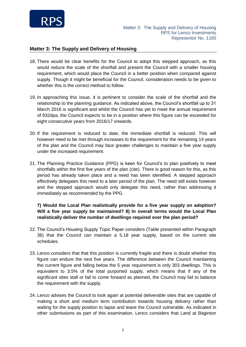

- 18. There would be clear benefits for the Council to adopt this stepped approach, as this would reduce the scale of the shortfall and present the Council with a smaller housing requirement, which would place the Council in a better position when compared against supply. Though it might be beneficial for the Council, consideration needs to be given to whether this is the correct method to follow.
- 19. In approaching this issue, it is pertinent to consider the scale of the shortfall and the relationship to the planning guidance. As indicated above, the Council's shortfall up to 31 March 2016 is significant and whilst the Council has yet to meet the annual requirement of 932dpa, the Council expects to be in a position where this figure can be exceeded for eight consecutive years from 2016/17 onwards.
- 20. If the requirement is reduced to date, the immediate shortfall is reduced. This will however need to be met through increases to the requirement for the remaining 14 years of the plan and the Council may face greater challenges to maintain a five year supply under the increased requirement.
- 21. The Planning Practice Guidance (PPG) is keen for Council's to plan positively to meet shortfalls within the first five years of the plan (cite). There is good reason for this, as this period has already taken place and a need has been identified. A stepped approach effectively delegates this need to a later period of the plan. The need still exists however and the stepped approach would only delegate this need, rather than addressing it immediately as recommended by the PPG.

# **7) Would the Local Plan realistically provide for a five year supply on adoption? Will a five year supply be maintained? 8) In overall terms would the Local Plan realistically deliver the number of dwellings required over the plan period?**

- 22. The Council's Housing Supply Topic Paper considers (Table presented within Paragraph 36) that the Council can maintain a 5.18 year supply, based on the current site schedules.
- 23. Lenco considers that that this position is currently fragile and there is doubt whether this figure can endure the next five years. The difference between the Council maintaining the current figure and falling below the 5 year requirement is only 303 dwellings. This is equivalent to 3.5% of the total purported supply, which means that if any of the significant sites stall or fail to come forward as planned, the Council may fail to balance the requirement with the supply.
- 24. Lenco advises the Council to look again at potential deliverable sites that are capable of making a short and medium term contribution towards housing delivery rather than waiting for the supply position to lapse and leave the Council vulnerable. As indicated in other submissions as part of this examination, Lenco considers that Land at Baginton